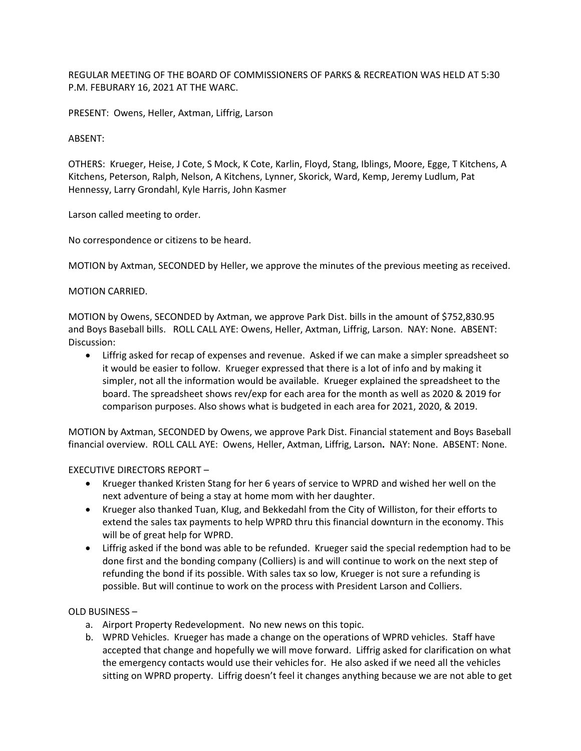REGULAR MEETING OF THE BOARD OF COMMISSIONERS OF PARKS & RECREATION WAS HELD AT 5:30 P.M. FEBURARY 16, 2021 AT THE WARC.

PRESENT: Owens, Heller, Axtman, Liffrig, Larson

## ABSENT:

OTHERS: Krueger, Heise, J Cote, S Mock, K Cote, Karlin, Floyd, Stang, Iblings, Moore, Egge, T Kitchens, A Kitchens, Peterson, Ralph, Nelson, A Kitchens, Lynner, Skorick, Ward, Kemp, Jeremy Ludlum, Pat Hennessy, Larry Grondahl, Kyle Harris, John Kasmer

Larson called meeting to order.

No correspondence or citizens to be heard.

MOTION by Axtman, SECONDED by Heller, we approve the minutes of the previous meeting as received.

## MOTION CARRIED.

MOTION by Owens, SECONDED by Axtman, we approve Park Dist. bills in the amount of \$752,830.95 and Boys Baseball bills. ROLL CALL AYE: Owens, Heller, Axtman, Liffrig, Larson. NAY: None. ABSENT: Discussion:

• Liffrig asked for recap of expenses and revenue. Asked if we can make a simpler spreadsheet so it would be easier to follow. Krueger expressed that there is a lot of info and by making it simpler, not all the information would be available. Krueger explained the spreadsheet to the board. The spreadsheet shows rev/exp for each area for the month as well as 2020 & 2019 for comparison purposes. Also shows what is budgeted in each area for 2021, 2020, & 2019.

MOTION by Axtman, SECONDED by Owens, we approve Park Dist. Financial statement and Boys Baseball financial overview. ROLL CALL AYE: Owens, Heller, Axtman, Liffrig, Larson**.** NAY: None. ABSENT: None.

## EXECUTIVE DIRECTORS REPORT –

- Krueger thanked Kristen Stang for her 6 years of service to WPRD and wished her well on the next adventure of being a stay at home mom with her daughter.
- Krueger also thanked Tuan, Klug, and Bekkedahl from the City of Williston, for their efforts to extend the sales tax payments to help WPRD thru this financial downturn in the economy. This will be of great help for WPRD.
- Liffrig asked if the bond was able to be refunded. Krueger said the special redemption had to be done first and the bonding company (Colliers) is and will continue to work on the next step of refunding the bond if its possible. With sales tax so low, Krueger is not sure a refunding is possible. But will continue to work on the process with President Larson and Colliers.

## OLD BUSINESS –

- a. Airport Property Redevelopment. No new news on this topic.
- b. WPRD Vehicles. Krueger has made a change on the operations of WPRD vehicles. Staff have accepted that change and hopefully we will move forward. Liffrig asked for clarification on what the emergency contacts would use their vehicles for. He also asked if we need all the vehicles sitting on WPRD property. Liffrig doesn't feel it changes anything because we are not able to get